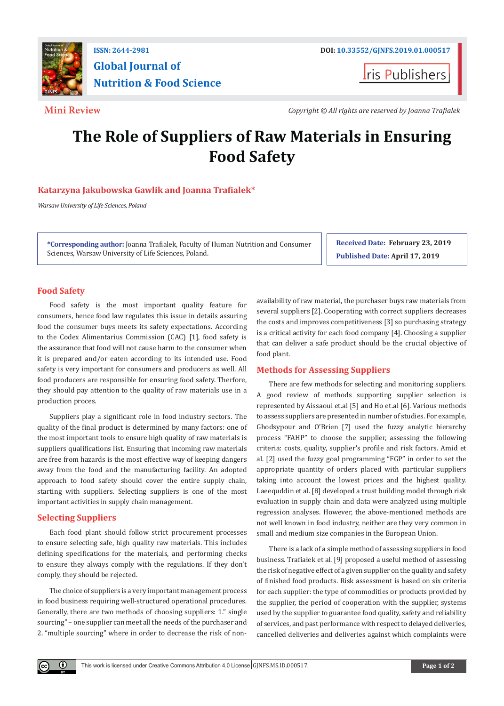

## **ISSN: 2644-2981 DOI: [10.33552/GJNFS.2019.01.000517](http://dx.doi.org/10.33552/GJNFS.2019.01.000517
) Global Journal of Nutrition & Food Science**

**I**ris Publishers

**Mini Review** *Copyright © All rights are reserved by Joanna Trafialek*

# **The Role of Suppliers of Raw Materials in Ensuring Food Safety**

### **Katarzyna Jakubowska Gawlik and Joanna Trafialek\***

*Warsaw University of Life Sciences, Poland*

**\*Corresponding author:** Joanna Trafialek, Faculty of Human Nutrition and Consumer Sciences, Warsaw University of Life Sciences, Poland.

**Received Date: February 23, 2019 Published Date: April 17, 2019**

### **Food Safety**

Food safety is the most important quality feature for consumers, hence food law regulates this issue in details assuring food the consumer buys meets its safety expectations. According to the Codex Alimentarius Commission (CAC) [1], food safety is the assurance that food will not cause harm to the consumer when it is prepared and/or eaten according to its intended use. Food safety is very important for consumers and producers as well. All food producers are responsible for ensuring food safety. Therfore, they should pay attention to the quality of raw materials use in a production proces.

Suppliers play a significant role in food industry sectors. The quality of the final product is determined by many factors: one of the most important tools to ensure high quality of raw materials is suppliers qualifications list. Ensuring that incoming raw materials are free from hazards is the most effective way of keeping dangers away from the food and the manufacturing facility. An adopted approach to food safety should cover the entire supply chain, starting with suppliers. Selecting suppliers is one of the most important activities in supply chain management.

### **Selecting Suppliers**

 $\bf \ddot{\bf v}$ 

Each food plant should follow strict procurement processes to ensure selecting safe, high quality raw materials. This includes defining specifications for the materials, and performing checks to ensure they always comply with the regulations. If they don't comply, they should be rejected.

The choice of suppliers is a very important management process in food business requiring well-structured operational procedures. Generally, there are two methods of choosing suppliers: 1." single sourcing" – one supplier can meet all the needs of the purchaser and 2. "multiple sourcing" where in order to decrease the risk of nonavailability of raw material, the purchaser buys raw materials from several suppliers [2]. Cooperating with correct suppliers decreases the costs and improves competitiveness [3] so purchasing strategy is a critical activity for each food company [4]. Choosing a supplier that can deliver a safe product should be the crucial objective of food plant.

### **Methods for Assessing Suppliers**

There are few methods for selecting and monitoring suppliers. A good review of methods supporting supplier selection is represented by Aissaoui et.al [5] and Ho et.al [6]. Various methods to assess suppliers are presented in number of studies. For example, Ghodsypour and O'Brien [7] used the fuzzy analytic hierarchy process "FAHP" to choose the supplier, assessing the following criteria: costs, quality, supplier's profile and risk factors. Amid et al. [2] used the fuzzy goal programming "FGP" in order to set the appropriate quantity of orders placed with particular suppliers taking into account the lowest prices and the highest quality. Laeequddin et al. [8] developed a trust building model through risk evaluation in supply chain and data were analyzed using multiple regression analyses. However, the above-mentioned methods are not well known in food industry, neither are they very common in small and medium size companies in the European Union.

There is a lack of a simple method of assessing suppliers in food business. Trafiałek et al. [9] proposed a useful method of assessing the risk of negative effect of a given supplier on the quality and safety of finished food products. Risk assessment is based on six criteria for each supplier: the type of commodities or products provided by the supplier, the period of cooperation with the supplier, systems used by the supplier to guarantee food quality, safety and reliability of services, and past performance with respect to delayed deliveries, cancelled deliveries and deliveries against which complaints were